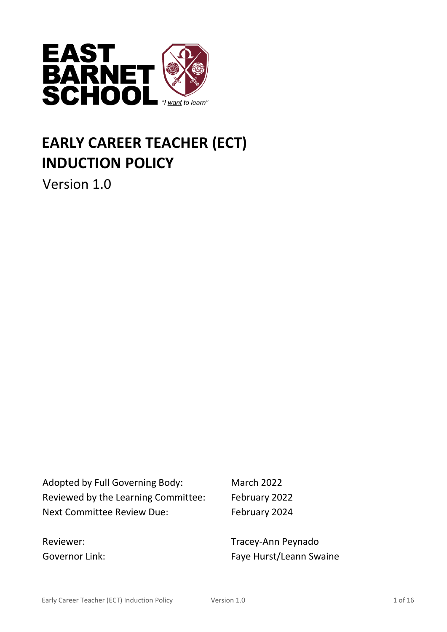

# **EARLY CAREER TEACHER (ECT) INDUCTION POLICY**

Version 1.0

Adopted by Full Governing Body: March 2022 Reviewed by the Learning Committee: February 2022 Next Committee Review Due: February 2024

Reviewer: Tracey-Ann Peynado Governor Link: Governor Link: Faye Hurst/Leann Swaine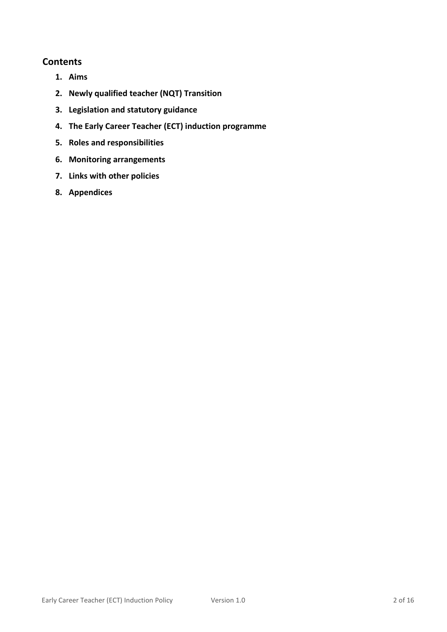#### **Contents**

- **1. Aims**
- **2. Newly qualified teacher (NQT) Transition**
- **3. Legislation and statutory guidance**
- **4. The Early Career Teacher (ECT) induction programme**
- **5. Roles and responsibilities**
- **6. Monitoring arrangements**
- **7. Links with other policies**
- **8. Appendices**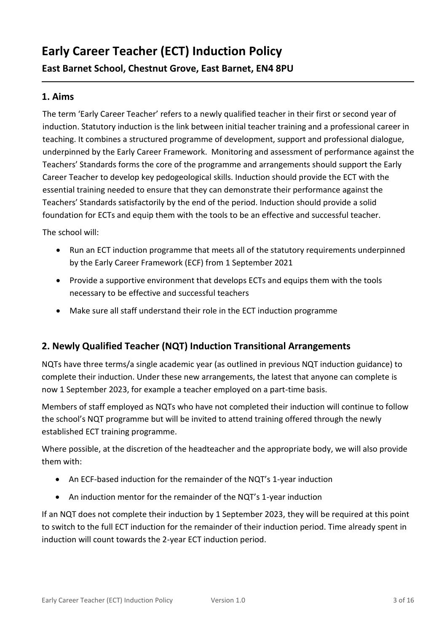## **Early Career Teacher (ECT) Induction Policy**

**East Barnet School, Chestnut Grove, East Barnet, EN4 8PU** 

#### **1. Aims**

The term 'Early Career Teacher' refers to a newly qualified teacher in their first or second year of induction. Statutory induction is the link between initial teacher training and a professional career in teaching. It combines a structured programme of development, support and professional dialogue, underpinned by the Early Career Framework. Monitoring and assessment of performance against the Teachers' Standards forms the core of the programme and arrangements should support the Early Career Teacher to develop key pedogeological skills. Induction should provide the ECT with the essential training needed to ensure that they can demonstrate their performance against the Teachers' Standards satisfactorily by the end of the period. Induction should provide a solid foundation for ECTs and equip them with the tools to be an effective and successful teacher.

The school will:

- Run an ECT induction programme that meets all of the statutory requirements underpinned by the Early Career Framework (ECF) from 1 September 2021
- Provide a supportive environment that develops ECTs and equips them with the tools necessary to be effective and successful teachers
- Make sure all staff understand their role in the ECT induction programme

#### **2. Newly Qualified Teacher (NQT) Induction Transitional Arrangements**

NQTs have three terms/a single academic year (as outlined in previous NQT induction guidance) to complete their induction. Under these new arrangements, the latest that anyone can complete is now 1 September 2023, for example a teacher employed on a part-time basis.

Members of staff employed as NQTs who have not completed their induction will continue to follow the school's NQT programme but will be invited to attend training offered through the newly established ECT training programme.

Where possible, at the discretion of the headteacher and the appropriate body, we will also provide them with:

- An ECF-based induction for the remainder of the NQT's 1-year induction
- An induction mentor for the remainder of the NQT's 1-year induction

If an NQT does not complete their induction by 1 September 2023, they will be required at this point to switch to the full ECT induction for the remainder of their induction period. Time already spent in induction will count towards the 2-year ECT induction period.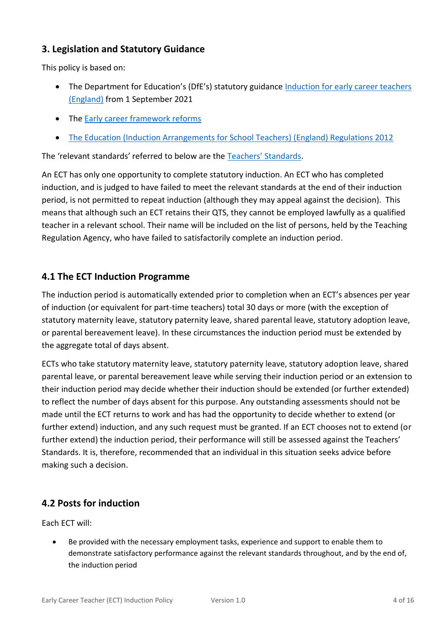#### **3. Legislation and Statutory Guidance**

This policy is based on:

- The Department for Education's (DfE's) statutory guidance Induction for early career teachers [\(England\)](https://www.gov.uk/government/publications/induction-for-early-career-teachers-england) from 1 September 2021
- The **Early career framework reforms**
- [The Education \(Induction Arrangements for School Teachers\) \(England\) Regulations 2012](http://www.legislation.gov.uk/uksi/2012/1115/contents/made)

The 'relevant standards' referred to below are the [Teachers' Standards](https://www.gov.uk/government/publications/teachers-standards).

An ECT has only one opportunity to complete statutory induction. An ECT who has completed induction, and is judged to have failed to meet the relevant standards at the end of their induction period, is not permitted to repeat induction (although they may appeal against the decision). This means that although such an ECT retains their QTS, they cannot be employed lawfully as a qualified teacher in a relevant school. Their name will be included on the list of persons, held by the Teaching Regulation Agency, who have failed to satisfactorily complete an induction period.

#### **4.1 The ECT Induction Programme**

The induction period is automatically extended prior to completion when an ECT's absences per year of induction (or equivalent for part-time teachers) total 30 days or more (with the exception of statutory maternity leave, statutory paternity leave, shared parental leave, statutory adoption leave, or parental bereavement leave). In these circumstances the induction period must be extended by the aggregate total of days absent.

ECTs who take statutory maternity leave, statutory paternity leave, statutory adoption leave, shared parental leave, or parental bereavement leave while serving their induction period or an extension to their induction period may decide whether their induction should be extended (or further extended) to reflect the number of days absent for this purpose. Any outstanding assessments should not be made until the ECT returns to work and has had the opportunity to decide whether to extend (or further extend) induction, and any such request must be granted. If an ECT chooses not to extend (or further extend) the induction period, their performance will still be assessed against the Teachers' Standards. It is, therefore, recommended that an individual in this situation seeks advice before making such a decision.

#### **4.2 Posts for induction**

Each ECT will:

• Be provided with the necessary employment tasks, experience and support to enable them to demonstrate satisfactory performance against the relevant standards throughout, and by the end of, the induction period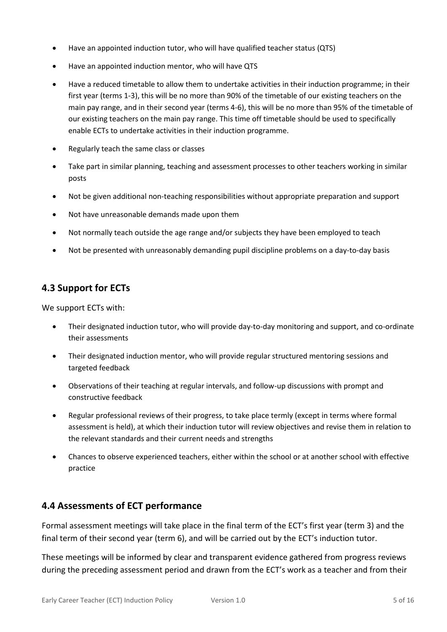- Have an appointed induction tutor, who will have qualified teacher status (QTS)
- Have an appointed induction mentor, who will have QTS
- Have a reduced timetable to allow them to undertake activities in their induction programme; in their first year (terms 1-3), this will be no more than 90% of the timetable of our existing teachers on the main pay range, and in their second year (terms 4-6), this will be no more than 95% of the timetable of our existing teachers on the main pay range. This time off timetable should be used to specifically enable ECTs to undertake activities in their induction programme.
- Regularly teach the same class or classes
- Take part in similar planning, teaching and assessment processes to other teachers working in similar posts
- Not be given additional non-teaching responsibilities without appropriate preparation and support
- Not have unreasonable demands made upon them
- Not normally teach outside the age range and/or subjects they have been employed to teach
- Not be presented with unreasonably demanding pupil discipline problems on a day-to-day basis

#### **4.3 Support for ECTs**

We support ECTs with:

- Their designated induction tutor, who will provide day-to-day monitoring and support, and co-ordinate their assessments
- Their designated induction mentor, who will provide regular structured mentoring sessions and targeted feedback
- Observations of their teaching at regular intervals, and follow-up discussions with prompt and constructive feedback
- Regular professional reviews of their progress, to take place termly (except in terms where formal assessment is held), at which their induction tutor will review objectives and revise them in relation to the relevant standards and their current needs and strengths
- Chances to observe experienced teachers, either within the school or at another school with effective practice

#### **4.4 Assessments of ECT performance**

Formal assessment meetings will take place in the final term of the ECT's first year (term 3) and the final term of their second year (term 6), and will be carried out by the ECT's induction tutor.

These meetings will be informed by clear and transparent evidence gathered from progress reviews during the preceding assessment period and drawn from the ECT's work as a teacher and from their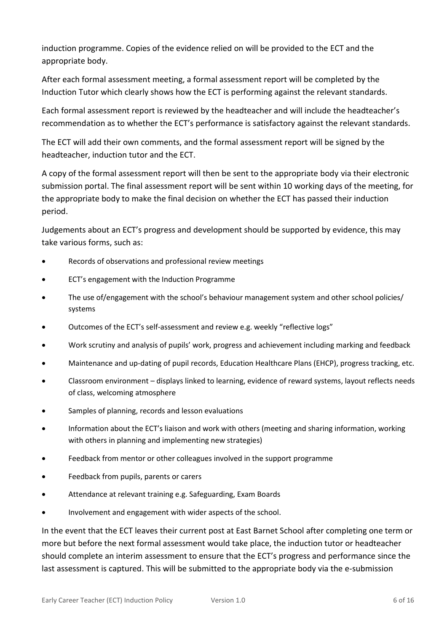induction programme. Copies of the evidence relied on will be provided to the ECT and the appropriate body.

After each formal assessment meeting, a formal assessment report will be completed by the Induction Tutor which clearly shows how the ECT is performing against the relevant standards.

Each formal assessment report is reviewed by the headteacher and will include the headteacher's recommendation as to whether the ECT's performance is satisfactory against the relevant standards.

The ECT will add their own comments, and the formal assessment report will be signed by the headteacher, induction tutor and the ECT.

A copy of the formal assessment report will then be sent to the appropriate body via their electronic submission portal. The final assessment report will be sent within 10 working days of the meeting, for the appropriate body to make the final decision on whether the ECT has passed their induction period.

Judgements about an ECT's progress and development should be supported by evidence, this may take various forms, such as:

- Records of observations and professional review meetings
- ECT's engagement with the Induction Programme
- The use of/engagement with the school's behaviour management system and other school policies/ systems
- Outcomes of the ECT's self-assessment and review e.g. weekly "reflective logs"
- Work scrutiny and analysis of pupils' work, progress and achievement including marking and feedback
- Maintenance and up-dating of pupil records, Education Healthcare Plans (EHCP), progress tracking, etc.
- Classroom environment displays linked to learning, evidence of reward systems, layout reflects needs of class, welcoming atmosphere
- Samples of planning, records and lesson evaluations
- Information about the ECT's liaison and work with others (meeting and sharing information, working with others in planning and implementing new strategies)
- Feedback from mentor or other colleagues involved in the support programme
- Feedback from pupils, parents or carers
- Attendance at relevant training e.g. Safeguarding, Exam Boards
- Involvement and engagement with wider aspects of the school.

In the event that the ECT leaves their current post at East Barnet School after completing one term or more but before the next formal assessment would take place, the induction tutor or headteacher should complete an interim assessment to ensure that the ECT's progress and performance since the last assessment is captured. This will be submitted to the appropriate body via the e-submission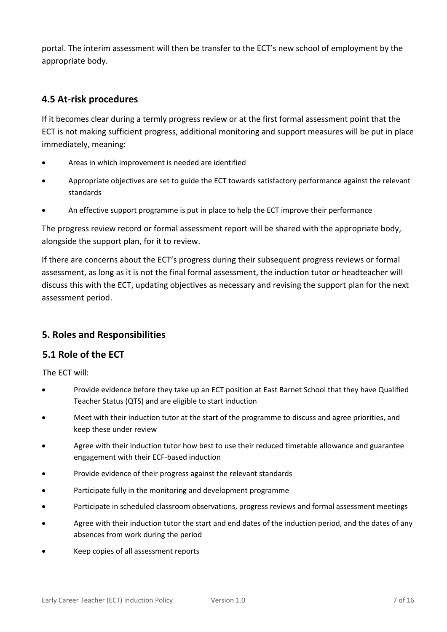portal. The interim assessment will then be transfer to the ECT's new school of employment by the appropriate body.

#### **4.5 At-risk procedures**

If it becomes clear during a termly progress review or at the first formal assessment point that the ECT is not making sufficient progress, additional monitoring and support measures will be put in place immediately, meaning:

- Areas in which improvement is needed are identified
- Appropriate objectives are set to guide the ECT towards satisfactory performance against the relevant standards
- An effective support programme is put in place to help the ECT improve their performance

The progress review record or formal assessment report will be shared with the appropriate body, alongside the support plan, for it to review.

If there are concerns about the ECT's progress during their subsequent progress reviews or formal assessment, as long as it is not the final formal assessment, the induction tutor or headteacher will discuss this with the ECT, updating objectives as necessary and revising the support plan for the next assessment period.

#### **5. Roles and Responsibilities**

#### **5.1 Role of the ECT**

The ECT will:

- Provide evidence before they take up an ECT position at East Barnet School that they have Qualified Teacher Status (QTS) and are eligible to start induction
- Meet with their induction tutor at the start of the programme to discuss and agree priorities, and keep these under review
- Agree with their induction tutor how best to use their reduced timetable allowance and guarantee engagement with their ECF-based induction
- Provide evidence of their progress against the relevant standards
- Participate fully in the monitoring and development programme
- Participate in scheduled classroom observations, progress reviews and formal assessment meetings
- Agree with their induction tutor the start and end dates of the induction period, and the dates of any absences from work during the period
- Keep copies of all assessment reports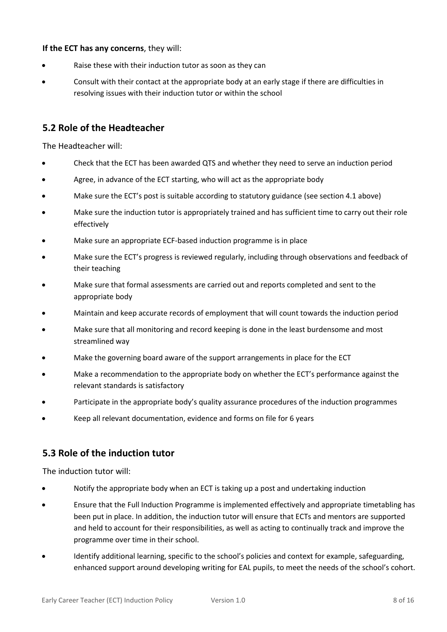#### **If the ECT has any concerns**, they will:

- Raise these with their induction tutor as soon as they can
- Consult with their contact at the appropriate body at an early stage if there are difficulties in resolving issues with their induction tutor or within the school

#### **5.2 Role of the Headteacher**

The Headteacher will:

- Check that the ECT has been awarded QTS and whether they need to serve an induction period
- Agree, in advance of the ECT starting, who will act as the appropriate body
- Make sure the ECT's post is suitable according to statutory guidance (see section 4.1 above)
- Make sure the induction tutor is appropriately trained and has sufficient time to carry out their role effectively
- Make sure an appropriate ECF-based induction programme is in place
- Make sure the ECT's progress is reviewed regularly, including through observations and feedback of their teaching
- Make sure that formal assessments are carried out and reports completed and sent to the appropriate body
- Maintain and keep accurate records of employment that will count towards the induction period
- Make sure that all monitoring and record keeping is done in the least burdensome and most streamlined way
- Make the governing board aware of the support arrangements in place for the ECT
- Make a recommendation to the appropriate body on whether the ECT's performance against the relevant standards is satisfactory
- Participate in the appropriate body's quality assurance procedures of the induction programmes
- Keep all relevant documentation, evidence and forms on file for 6 years

#### **5.3 Role of the induction tutor**

The induction tutor will:

- Notify the appropriate body when an ECT is taking up a post and undertaking induction
- Ensure that the Full Induction Programme is implemented effectively and appropriate timetabling has been put in place. In addition, the induction tutor will ensure that ECTs and mentors are supported and held to account for their responsibilities, as well as acting to continually track and improve the programme over time in their school.
- Identify additional learning, specific to the school's policies and context for example, safeguarding, enhanced support around developing writing for EAL pupils, to meet the needs of the school's cohort.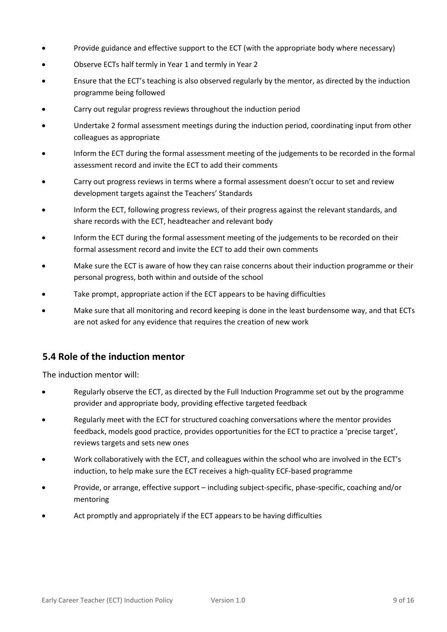- Provide guidance and effective support to the ECT (with the appropriate body where necessary)
- Observe ECTs half termly in Year 1 and termly in Year 2
- Ensure that the ECT's teaching is also observed regularly by the mentor, as directed by the induction programme being followed
- Carry out regular progress reviews throughout the induction period
- Undertake 2 formal assessment meetings during the induction period, coordinating input from other colleagues as appropriate
- Inform the ECT during the formal assessment meeting of the judgements to be recorded in the formal assessment record and invite the ECT to add their comments
- Carry out progress reviews in terms where a formal assessment doesn't occur to set and review development targets against the Teachers' Standards
- Inform the ECT, following progress reviews, of their progress against the relevant standards, and share records with the ECT, headteacher and relevant body
- Inform the ECT during the formal assessment meeting of the judgements to be recorded on their formal assessment record and invite the ECT to add their own comments
- Make sure the ECT is aware of how they can raise concerns about their induction programme or their personal progress, both within and outside of the school
- Take prompt, appropriate action if the ECT appears to be having difficulties
- Make sure that all monitoring and record keeping is done in the least burdensome way, and that ECTs are not asked for any evidence that requires the creation of new work

#### **5.4 Role of the induction mentor**

The induction mentor will:

- Regularly observe the ECT, as directed by the Full Induction Programme set out by the programme provider and appropriate body, providing effective targeted feedback
- Regularly meet with the ECT for structured coaching conversations where the mentor provides feedback, models good practice, provides opportunities for the ECT to practice a 'precise target', reviews targets and sets new ones
- Work collaboratively with the ECT, and colleagues within the school who are involved in the ECT's induction, to help make sure the ECT receives a high-quality ECF-based programme
- Provide, or arrange, effective support including subject-specific, phase-specific, coaching and/or mentoring
- Act promptly and appropriately if the ECT appears to be having difficulties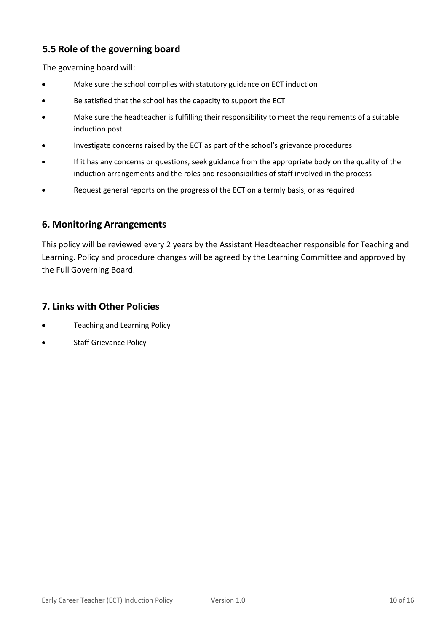#### **5.5 Role of the governing board**

The governing board will:

- Make sure the school complies with statutory guidance on ECT induction
- Be satisfied that the school has the capacity to support the ECT
- Make sure the headteacher is fulfilling their responsibility to meet the requirements of a suitable induction post
- Investigate concerns raised by the ECT as part of the school's grievance procedures
- If it has any concerns or questions, seek guidance from the appropriate body on the quality of the induction arrangements and the roles and responsibilities of staff involved in the process
- Request general reports on the progress of the ECT on a termly basis, or as required

#### **6. Monitoring Arrangements**

This policy will be reviewed every 2 years by the Assistant Headteacher responsible for Teaching and Learning. Policy and procedure changes will be agreed by the Learning Committee and approved by the Full Governing Board.

#### **7. Links with Other Policies**

- Teaching and Learning Policy
- **Staff Grievance Policy**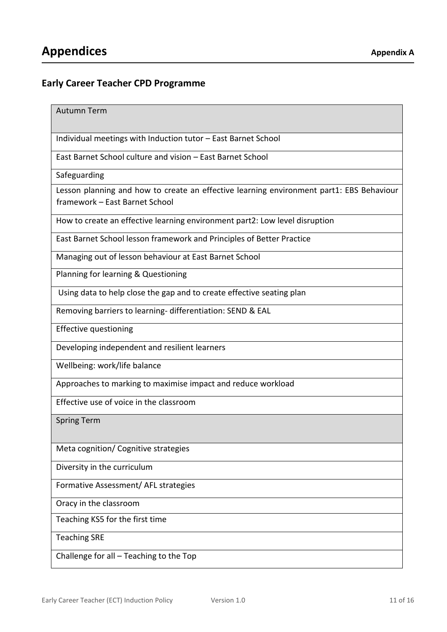#### **Early Career Teacher CPD Programme**

Autumn Term

Individual meetings with Induction tutor – East Barnet School

East Barnet School culture and vision – East Barnet School

Safeguarding

Lesson planning and how to create an effective learning environment part1: EBS Behaviour framework – East Barnet School

How to create an effective learning environment part2: Low level disruption

East Barnet School lesson framework and Principles of Better Practice

Managing out of lesson behaviour at East Barnet School

Planning for learning & Questioning

Using data to help close the gap and to create effective seating plan

Removing barriers to learning- differentiation: SEND & EAL

Effective questioning

Developing independent and resilient learners

Wellbeing: work/life balance

Approaches to marking to maximise impact and reduce workload

Effective use of voice in the classroom

Spring Term

Meta cognition/ Cognitive strategies

Diversity in the curriculum

Formative Assessment/ AFL strategies

Oracy in the classroom

Teaching KS5 for the first time

Teaching SRE

Challenge for all – Teaching to the Top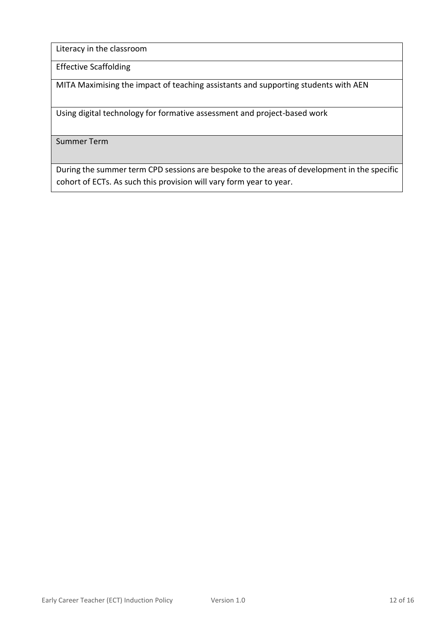Literacy in the classroom

Effective Scaffolding

MITA Maximising the impact of teaching assistants and supporting students with AEN

Using digital technology for formative assessment and project-based work

Summer Term

During the summer term CPD sessions are bespoke to the areas of development in the specific cohort of ECTs. As such this provision will vary form year to year.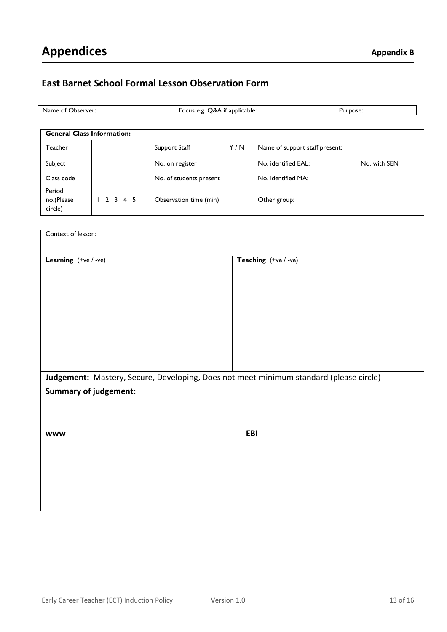#### **East Barnet School Formal Lesson Observation Form**

| .Jbserver<br>Name<br>OТ | applicable:<br>-ocus<br>י ב<br>п<br>۰ می<br>J.c | urbose' |
|-------------------------|-------------------------------------------------|---------|
|                         |                                                 |         |

| <b>General Class Information:</b> |         |                         |     |                                |  |              |  |
|-----------------------------------|---------|-------------------------|-----|--------------------------------|--|--------------|--|
| <b>Teacher</b>                    |         | Support Staff           | Y/N | Name of support staff present: |  |              |  |
| Subject                           |         | No. on register         |     | No. identified EAL:            |  | No. with SEN |  |
| Class code                        |         | No. of students present |     | No. identified MA:             |  |              |  |
| Period<br>no.(Please<br>circle)   | 2 3 4 5 | Observation time (min)  |     | Other group:                   |  |              |  |

| Context of lesson:                                                                                                     |                      |  |  |  |  |
|------------------------------------------------------------------------------------------------------------------------|----------------------|--|--|--|--|
| Learning (+ve / -ve)                                                                                                   | Teaching (+ve / -ve) |  |  |  |  |
| Judgement: Mastery, Secure, Developing, Does not meet minimum standard (please circle)<br><b>Summary of judgement:</b> |                      |  |  |  |  |
| <b>WWW</b>                                                                                                             | EBI                  |  |  |  |  |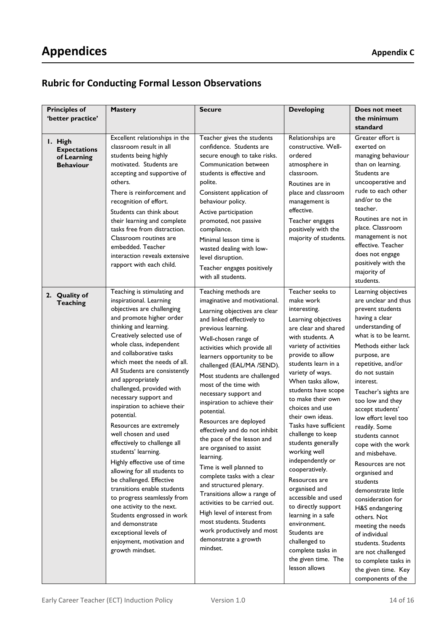### **Rubric for Conducting Formal Lesson Observations**

| <b>Principles of</b><br>'better practice'                         | <b>Mastery</b>                                                                                                                                                                                                                                                                                                                                                                                                                                                                                                                                                                                                                                                                                                                                                                                                                                       | <b>Secure</b>                                                                                                                                                                                                                                                                                                                                                                                                                                                                                                                                                                                                                                                                                                                                                                                                     | <b>Developing</b>                                                                                                                                                                                                                                                                                                                                                                                                                                                                                                                                                                                                                                              | Does not meet<br>the minimum<br>standard                                                                                                                                                                                                                                                                                                                                                                                                                                                                                                                                                                                                                                            |
|-------------------------------------------------------------------|------------------------------------------------------------------------------------------------------------------------------------------------------------------------------------------------------------------------------------------------------------------------------------------------------------------------------------------------------------------------------------------------------------------------------------------------------------------------------------------------------------------------------------------------------------------------------------------------------------------------------------------------------------------------------------------------------------------------------------------------------------------------------------------------------------------------------------------------------|-------------------------------------------------------------------------------------------------------------------------------------------------------------------------------------------------------------------------------------------------------------------------------------------------------------------------------------------------------------------------------------------------------------------------------------------------------------------------------------------------------------------------------------------------------------------------------------------------------------------------------------------------------------------------------------------------------------------------------------------------------------------------------------------------------------------|----------------------------------------------------------------------------------------------------------------------------------------------------------------------------------------------------------------------------------------------------------------------------------------------------------------------------------------------------------------------------------------------------------------------------------------------------------------------------------------------------------------------------------------------------------------------------------------------------------------------------------------------------------------|-------------------------------------------------------------------------------------------------------------------------------------------------------------------------------------------------------------------------------------------------------------------------------------------------------------------------------------------------------------------------------------------------------------------------------------------------------------------------------------------------------------------------------------------------------------------------------------------------------------------------------------------------------------------------------------|
| I. High<br><b>Expectations</b><br>of Learning<br><b>Behaviour</b> | Excellent relationships in the<br>classroom result in all<br>students being highly<br>motivated. Students are<br>accepting and supportive of<br>others.<br>There is reinforcement and<br>recognition of effort.<br>Students can think about<br>their learning and complete<br>tasks free from distraction.<br>Classroom routines are<br>embedded. Teacher<br>interaction reveals extensive<br>rapport with each child.                                                                                                                                                                                                                                                                                                                                                                                                                               | Teacher gives the students<br>confidence. Students are<br>secure enough to take risks.<br>Communication between<br>students is effective and<br>polite.<br>Consistent application of<br>behaviour policy.<br>Active participation<br>promoted, not passive<br>compliance.<br>Minimal lesson time is<br>wasted dealing with low-<br>level disruption.<br>Teacher engages positively<br>with all students.                                                                                                                                                                                                                                                                                                                                                                                                          | Relationships are<br>constructive. Well-<br>ordered<br>atmosphere in<br>classroom.<br>Routines are in<br>place and classroom<br>management is<br>effective.<br>Teacher engages<br>positively with the<br>majority of students.                                                                                                                                                                                                                                                                                                                                                                                                                                 | Greater effort is<br>exerted on<br>managing behaviour<br>than on learning.<br>Students are<br>uncooperative and<br>rude to each other<br>and/or to the<br>teacher.<br>Routines are not in<br>place. Classroom<br>management is not<br>effective. Teacher<br>does not engage<br>positively with the<br>majority of<br>students.                                                                                                                                                                                                                                                                                                                                                      |
| 2. Quality of<br><b>Teaching</b>                                  | Teaching is stimulating and<br>inspirational. Learning<br>objectives are challenging<br>and promote higher order<br>thinking and learning.<br>Creatively selected use of<br>whole class, independent<br>and collaborative tasks<br>which meet the needs of all.<br>All Students are consistently<br>and appropriately<br>challenged, provided with<br>necessary support and<br>inspiration to achieve their<br>potential.<br>Resources are extremely<br>well chosen and used<br>effectively to challenge all<br>students' learning.<br>Highly effective use of time<br>allowing for all students to<br>be challenged. Effective<br>transitions enable students<br>to progress seamlessly from<br>one activity to the next.<br>Students engrossed in work<br>and demonstrate<br>exceptional levels of<br>enjoyment, motivation and<br>growth mindset. | Teaching methods are<br>imaginative and motivational.<br>Learning objectives are clear<br>and linked effectively to<br>previous learning.<br>Well-chosen range of<br>activities which provide all<br>learners opportunity to be<br>challenged (EAL/MA /SEND).<br>Most students are challenged<br>most of the time with<br>necessary support and<br>inspiration to achieve their<br>potential.<br>Resources are deployed<br>effectively and do not inhibit<br>the pace of the lesson and<br>are organised to assist<br>learning.<br>Time is well planned to<br>complete tasks with a clear<br>and structured plenary.<br>Transitions allow a range of<br>activities to be carried out.<br>High level of interest from<br>most students. Students<br>work productively and most<br>demonstrate a growth<br>mindset. | Teacher seeks to<br>make work<br>interesting.<br>Learning objectives<br>are clear and shared<br>with students. A<br>variety of activities<br>provide to allow<br>students learn in a<br>variety of ways.<br>When tasks allow,<br>students have scope<br>to make their own<br>choices and use<br>their own ideas.<br>Tasks have sufficient<br>challenge to keep<br>students generally<br>working well<br>independently or<br>cooperatively.<br>Resources are<br>organised and<br>accessible and used<br>to directly support<br>learning in a safe<br>environment.<br>Students are<br>challenged to<br>complete tasks in<br>the given time. The<br>lesson allows | Learning objectives<br>are unclear and thus<br>prevent students<br>having a clear<br>understanding of<br>what is to be learnt.<br>Methods either lack<br>purpose, are<br>repetitive, and/or<br>do not sustain<br>interest.<br>Teacher's sights are<br>too low and they<br>accept students'<br>low effort level too<br>readily. Some<br>students cannot<br>cope with the work<br>and misbehave.<br>Resources are not<br>organised and<br>students<br>demonstrate little<br>consideration for<br>H&S endangering<br>others. Not<br>meeting the needs<br>of individual<br>students. Students<br>are not challenged<br>to complete tasks in<br>the given time. Key<br>components of the |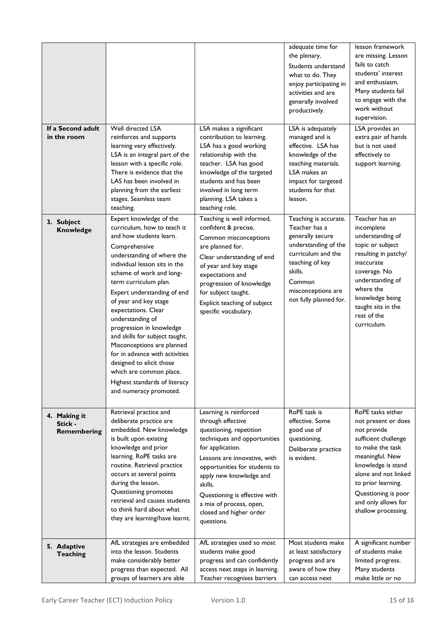| If a Second adult<br>in the room       | Well directed LSA<br>reinforces and supports<br>learning very effectively.<br>LSA is an integral part of the<br>lesson with a specific role.<br>There is evidence that the<br>LAS has been involved in<br>planning from the earliest<br>stages. Seamless team<br>teaching.                                                                                                                                                                                                                                                                                                | LSA makes a significant<br>contribution to learning.<br>LSA has a good working<br>relationship with the<br>teacher. LSA has good<br>knowledge of the targeted<br>students and has been<br>involved in long term<br>planning. LSA takes a<br>teaching role.                                                                             | adequate time for<br>the plenary.<br>Students understand<br>what to do. They<br>enjoy participating in<br>activities and are<br>generally involved<br>productively.<br>LSA is adequately<br>managed and is<br>effective. LSA has<br>knowledge of the<br>teaching materials.<br>LSA makes an<br>impact for targeted<br>students for that<br>lesson. | lesson framework<br>are missing. Lesson<br>fails to catch<br>students' interest<br>and enthusiasm.<br>Many students fail<br>to engage with the<br>work without<br>supervision.<br>LSA provides an<br>extra pair of hands<br>but is not used<br>effectively to<br>support learning. |
|----------------------------------------|---------------------------------------------------------------------------------------------------------------------------------------------------------------------------------------------------------------------------------------------------------------------------------------------------------------------------------------------------------------------------------------------------------------------------------------------------------------------------------------------------------------------------------------------------------------------------|----------------------------------------------------------------------------------------------------------------------------------------------------------------------------------------------------------------------------------------------------------------------------------------------------------------------------------------|----------------------------------------------------------------------------------------------------------------------------------------------------------------------------------------------------------------------------------------------------------------------------------------------------------------------------------------------------|------------------------------------------------------------------------------------------------------------------------------------------------------------------------------------------------------------------------------------------------------------------------------------|
| 3. Subject<br><b>Knowledge</b>         | Expert knowledge of the<br>curriculum, how to teach it<br>and how students learn.<br>Comprehensive<br>understanding of where the<br>individual lesson sits in the<br>scheme of work and long-<br>term curriculum plan.<br>Expert understanding of end<br>of year and key stage<br>expectations. Clear<br>understanding of<br>progression in knowledge<br>and skills for subject taught.<br>Misconceptions are planned<br>for in advance with activities<br>designed to elicit those<br>which are common place.<br>Highest standards of literacy<br>and numeracy promoted. | Teaching is well informed,<br>confident & precise.<br>Common misconceptions<br>are planned for.<br>Clear understanding of end<br>of year and key stage<br>expectations and<br>progression of knowledge<br>for subject taught.<br>Explicit teaching of subject<br>specific vocabulary.                                                  | Teaching is accurate.<br>Teacher has a<br>generally secure<br>understanding of the<br>curriculum and the<br>teaching of key<br>skills.<br>Common<br>misconceptions are<br>not fully planned for.                                                                                                                                                   | Teacher has an<br>incomplete<br>understanding of<br>topic or subject<br>resulting in patchy/<br>inaccurate<br>coverage. No<br>understanding of<br>where the<br>knowledge being<br>taught sits in the<br>rest of the<br>curriculum.                                                 |
| 4. Making it<br>Stick -<br>Remembering | Retrieval practice and<br>deliberate practice are<br>embedded. New knowledge<br>is built upon existing<br>knowledge and prior<br>learning. RoPE tasks are<br>routine. Retrieval practice<br>occurs at several points<br>during the lesson.<br>Questioning promotes<br>retrieval and causes students<br>to think hard about what<br>they are learning/have learnt.                                                                                                                                                                                                         | Learning is reinforced<br>through effective<br>questioning, repetition<br>techniques and opportunities<br>for application.<br>Lessons are innovative, with<br>opportunities for students to<br>apply new knowledge and<br>skills.<br>Questioning is effective with<br>a mix of process, open,<br>closed and higher order<br>questions. | RoPE task is<br>effective. Some<br>good use of<br>questioning.<br>Deliberate practice<br>is evident.                                                                                                                                                                                                                                               | RoPE tasks either<br>not present or does<br>not provide<br>sufficient challenge<br>to make the task<br>meaningful. New<br>knowledge is stand<br>alone and not linked<br>to prior learning.<br>Questioning is poor<br>and only allows for<br>shallow processing.                    |
| 5. Adaptive<br><b>Teaching</b>         | AfL strategies are embedded<br>into the lesson. Students<br>make considerably better<br>progress than expected. All<br>groups of learners are able                                                                                                                                                                                                                                                                                                                                                                                                                        | AfL strategies used so most<br>students make good<br>progress and can confidently<br>access next steps in learning.<br>Teacher recognises barriers                                                                                                                                                                                     | Most students make<br>at least satisfactory<br>progress and are<br>aware of how they<br>can access next                                                                                                                                                                                                                                            | A significant number<br>of students make<br>limited progress.<br>Many students<br>make little or no                                                                                                                                                                                |